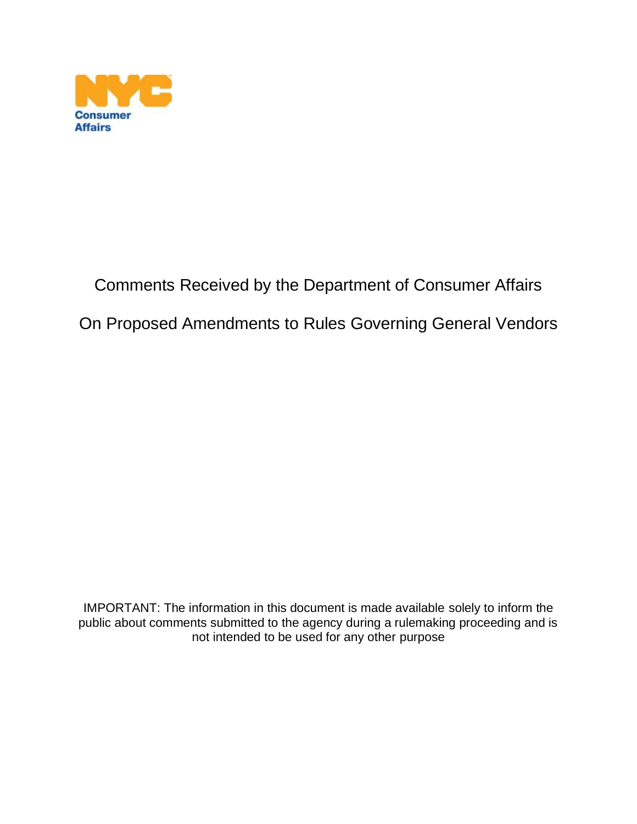

## Comments Received by the Department of Consumer Affairs

## On Proposed Amendments to Rules Governing General Vendors

IMPORTANT: The information in this document is made available solely to inform the public about comments submitted to the agency during a rulemaking proceeding and is not intended to be used for any other purpose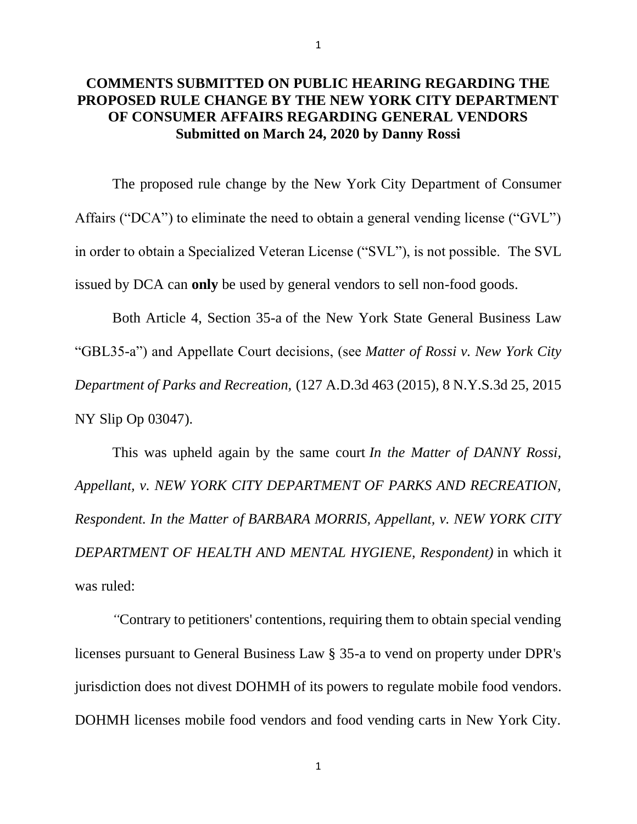## **COMMENTS SUBMITTED ON PUBLIC HEARING REGARDING THE PROPOSED RULE CHANGE BY THE NEW YORK CITY DEPARTMENT OF CONSUMER AFFAIRS REGARDING GENERAL VENDORS Submitted on March 24, 2020 by Danny Rossi**

The proposed rule change by the New York City Department of Consumer Affairs ("DCA") to eliminate the need to obtain a general vending license ("GVL") in order to obtain a Specialized Veteran License ("SVL"), is not possible. The SVL issued by DCA can **only** be used by general vendors to sell non-food goods.

Both Article 4, Section 35-a of the New York State General Business Law "GBL35-a") and Appellate Court decisions, (see *Matter of Rossi v. New York City Department of Parks and Recreation,* (127 A.D.3d 463 (2015), 8 N.Y.S.3d 25, 2015 NY Slip Op 03047).

This was upheld again by the same court *In the Matter of DANNY Rossi, Appellant, v. NEW YORK CITY DEPARTMENT OF PARKS AND RECREATION, Respondent. In the Matter of BARBARA MORRIS, Appellant, v. NEW YORK CITY DEPARTMENT OF HEALTH AND MENTAL HYGIENE, Respondent)* in which it was ruled:

 *"*Contrary to petitioners' contentions, requiring them to obtain special vending licenses pursuant to General Business Law § 35-a to vend on property under DPR's jurisdiction does not divest DOHMH of its powers to regulate mobile food vendors. DOHMH licenses mobile food vendors and food vending carts in New York City.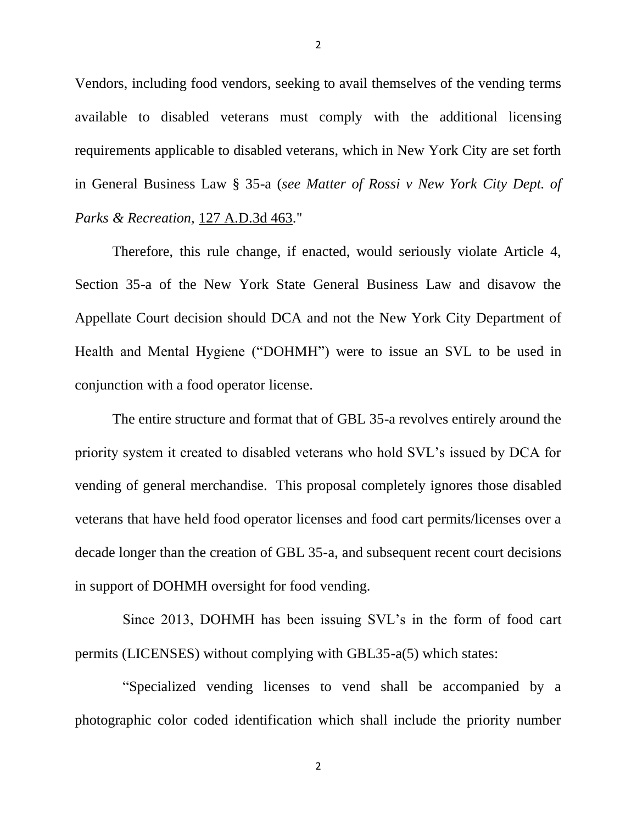Vendors, including food vendors, seeking to avail themselves of the vending terms available to disabled veterans must comply with the additional licensing requirements applicable to disabled veterans, which in New York City are set forth in General Business Law § 35-a (*see Matter of Rossi v New York City Dept. of Parks & Recreation,* [127 A.D.3d 463.](https://www.leagle.com/cite/127%20A.D.3d%20463)"

Therefore, this rule change, if enacted, would seriously violate Article 4, Section 35-a of the New York State General Business Law and disavow the Appellate Court decision should DCA and not the New York City Department of Health and Mental Hygiene ("DOHMH") were to issue an SVL to be used in conjunction with a food operator license.

The entire structure and format that of GBL 35-a revolves entirely around the priority system it created to disabled veterans who hold SVL's issued by DCA for vending of general merchandise. This proposal completely ignores those disabled veterans that have held food operator licenses and food cart permits/licenses over a decade longer than the creation of GBL 35-a, and subsequent recent court decisions in support of DOHMH oversight for food vending.

Since 2013, DOHMH has been issuing SVL's in the form of food cart permits (LICENSES) without complying with GBL35-a(5) which states:

"Specialized vending licenses to vend shall be accompanied by a photographic color coded identification which shall include the priority number

2

2